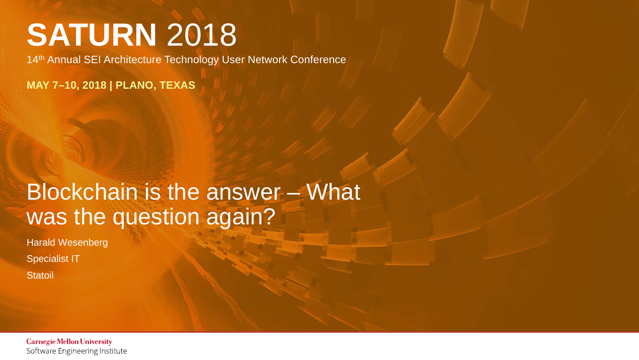# **SATURN** 2018

14<sup>th</sup> Annual SEI Architecture Technology User Network Conference

**MAY 7–10, 2018 | PLANO, TEXAS**

### Blockchain is the answer – What was the question again?

Harald Wesenberg Specialist IT **Statoil** 

**Carnegie Mellon University** Software Engineering Institute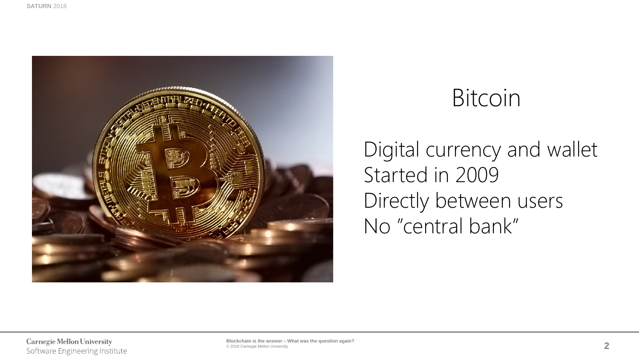

### Bitcoin

Digital currency and wallet Started in 2009 Directly between users No "central bank"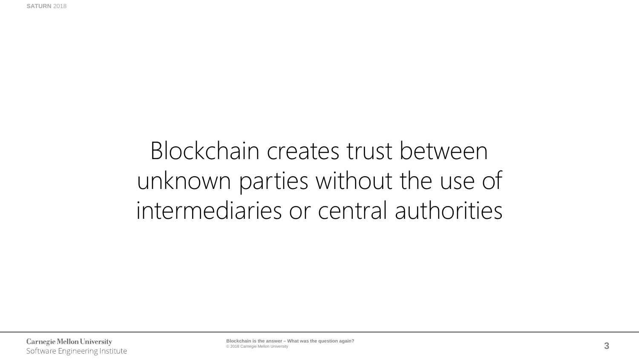### Blockchain creates trust between unknown parties without the use of intermediaries or central authorities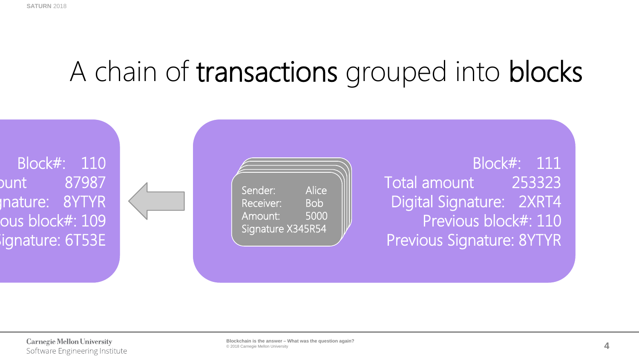## A chain of **transactions** grouped into **blocks**

Block#: 110 ount 87987 gnature: 8YTYR ous block#: 109 ignature: 6T53E



Sender: Alice Alice eceiver: Bob 5000 ender: Alice  $m$ ount:  $5000$ Sender: Alice Sender: Alice Sender: Alice Receiver: Bob Receiver: Bob Receiver: Bob Amount: 5000 Amount: 5000 Amount: 5000 Signature X345R54 Signature X345R54 Signature X345R54

Block#: 111 Total amount 253323 Digital Signature: 2XRT4 Previous block#: 110 Previous Signature: 8YTYR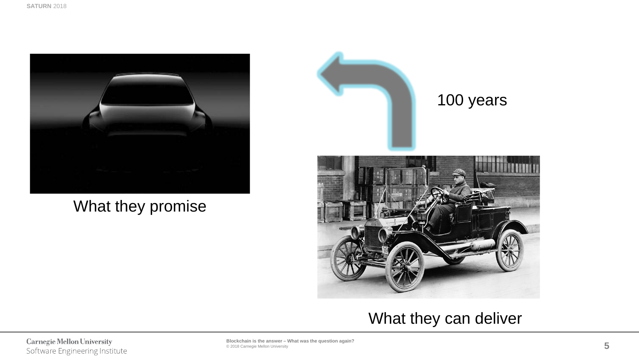

#### What they promise



#### What they can deliver

Carnegie Mellon University Software Engineering Institute

**Exercical is the answer – What was the question again?**<br>
© 2018 Carnegie Mellon University © 2018 Carnegie Mellon University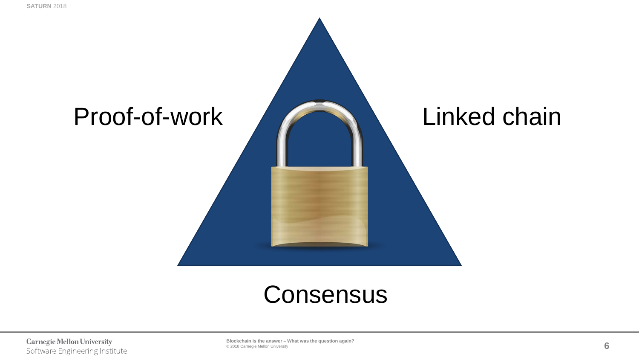

### **Consensus**

Carnegie Mellon University Software Engineering Institute

**6 Blockchain is the answer – What was the question again?<br>
© 2018 Carnegie Mellon University** © 2018 Carnegie Mellon University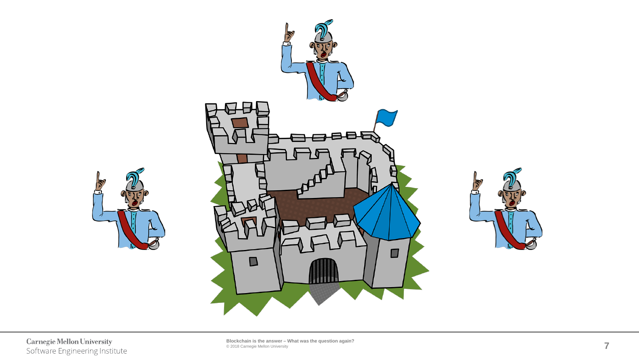





**Carnegie Mellon University**<br>Software Engineering Institute

**7 Blockchain is the answer – What was the question again?** © 2018 Carnegie Mellon University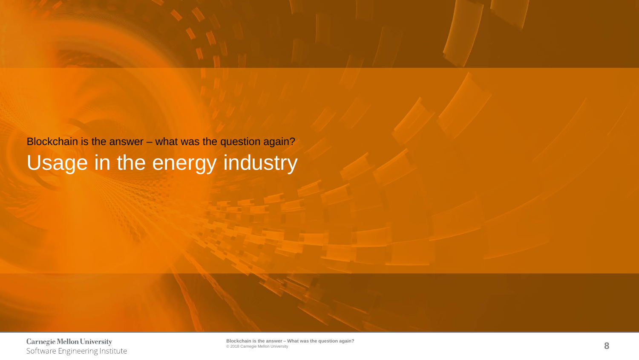### Blockchain is the answer – what was the question again? Usage in the energy industry

Carnegie Mellon University Software Engineering Institute

**8 Blockchain is the answer – What was the question again?<br>
© 2018 Carnegie Mellon University** © 2018 Carnegie Mellon University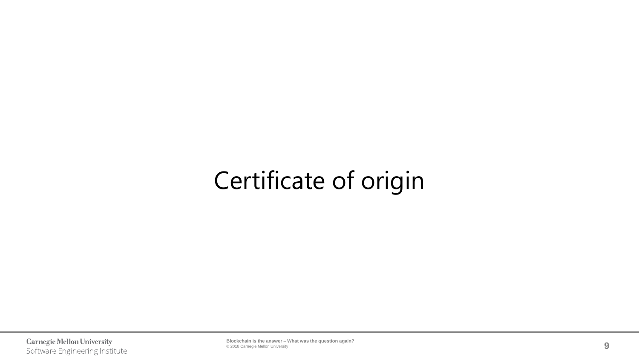## Certificate of origin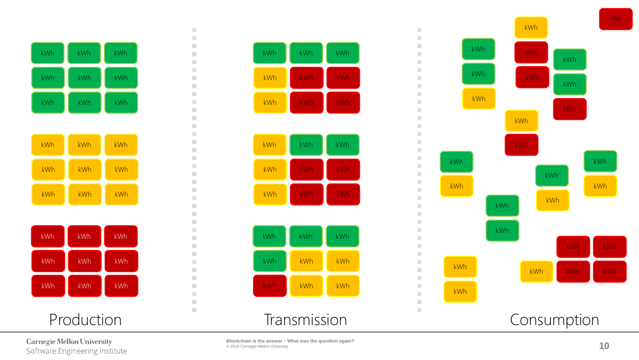

 $\mathcal{L}_{\mathcal{A}}$  $\mathbf{u}$ 

ш

 $\mathbf{u}$ 

ш

ш

 $\mathbf{u}$ 

ш

ш

 $\mathbf{u}$ 

ш

ш

 $\mathbf{u}$ 

ш

ш

 $\mathbf{u}$ 

ш

ш

 $\mathbf{u}$ 

ш

ш

 $\mathbf{u}$ 

ш

ш

 $\mathbf{u}$ 

ш

ш

 $\mathbf{u}$ 

ш

ш

 $\mathbf{u}$ 

ш

ш

 $\mathbf{u}$ 

ш

ш









**Carnegie Mellon University** Software Engineering Institute

**10 Blockchain is the answer – What was the question again?<br>© 2018 Carnegie Mellon University<br><b>10** © 2018 Carnegie Mellon University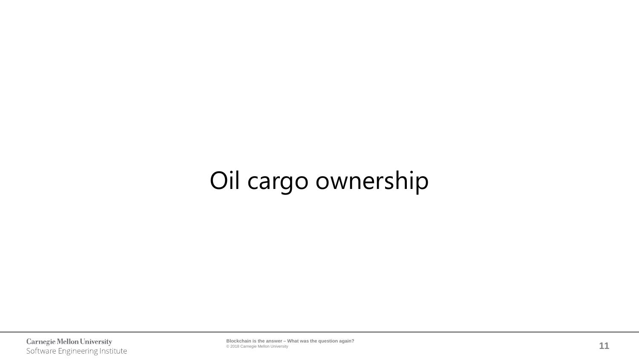## Oil cargo ownership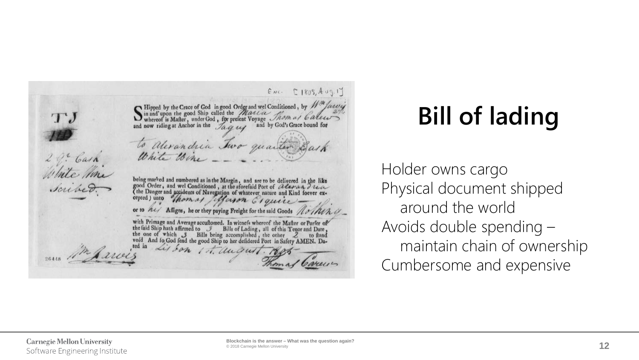$E_{NC}$  [1805,  $Avg.1$ ] Suppled by the Crace of God in good Order and wel Conditioned, by W<sup>W</sup> faster is Matter, under God , for prefent Voyage Show at Cale is and now riding at Anchor in the Jag us and by God's Grace bound for  $T$ . to alexandria Two quarter White Wine  $29.641$ being marked and numbered as in the Margin, and are to be delivered in the like<br>good Order, and wel Conditioned, at the aforefaid Port of *alteran dua*<br>(the Danger and accidents of Navegation of whatever nature and Kind fo or to he/ Affigns, he or they paying Freight for the said Goods Nollano with Primage and Average accultomed. In witnefs whereof the Mafter or Purfer of the faid Ship hath affirmed to 3 Bills of Lading, all of this Tenor and Date,<br>the one of which 3 Bills being accomplished, the other 2 to fland<br>to data fo God fend the good Ship to her defidered Port in Safety AMEN. Da-Let 1 . august. 184

## **Bill of lading**

Holder owns cargo Physical document shipped around the world Avoids double spending – maintain chain of ownership Cumbersome and expensive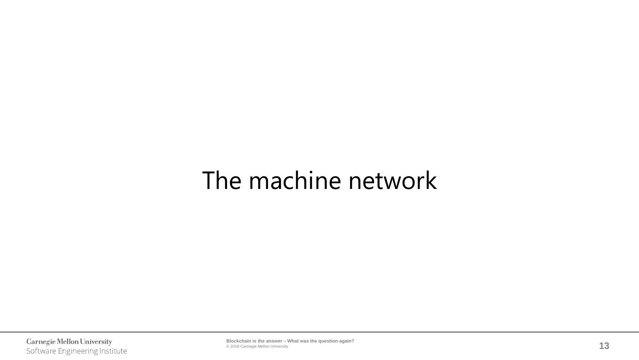### The machine network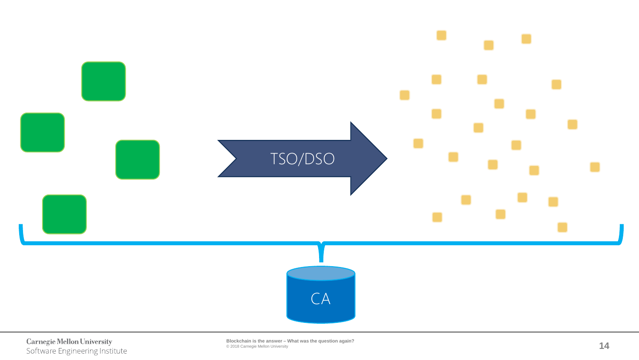

 $\label{eq:carneg} \textbf{Carnegie} \, \textbf{Mellon}\, \textbf{University}$ Software Engineering Institute

**14** Blockchain is the answer – What was the question again?<br>© 2018 Carnegie Mellon University © 2018 Carnegie Mellon University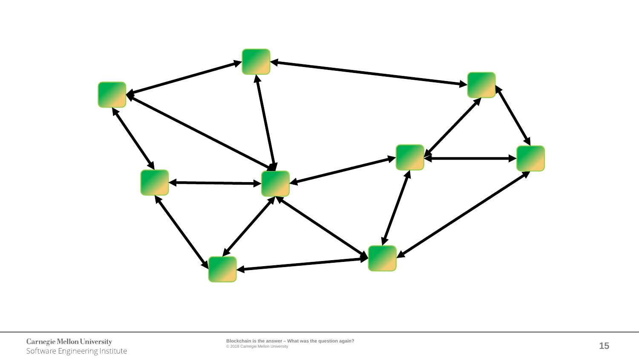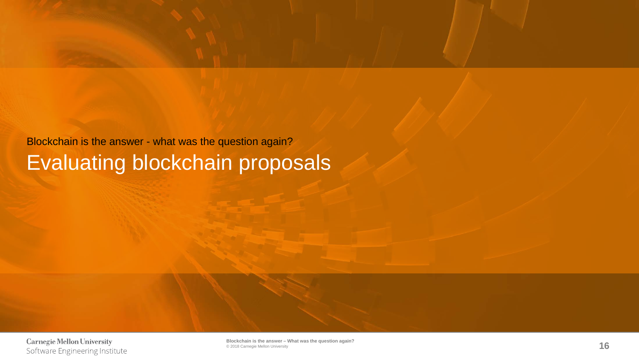### Blockchain is the answer - what was the question again? Evaluating blockchain proposals

**Carnegie Mellon University** Software Engineering Institute

**16 Blockchain is the answer – What was the question again?** © 2018 Carnegie Mellon University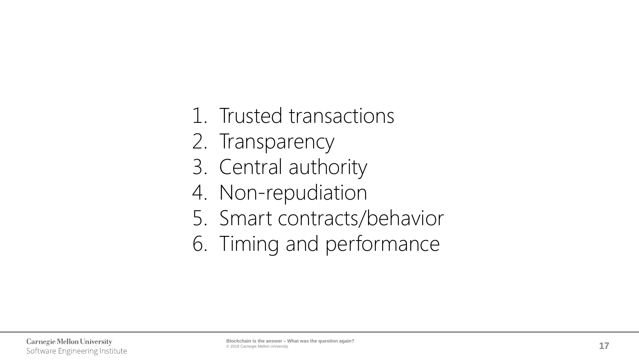- 1. Trusted transactions
- 2. Transparency
- 3. Central authority
- 4. Non-repudiation
- 5. Smart contracts/behavior
- 6. Timing and performance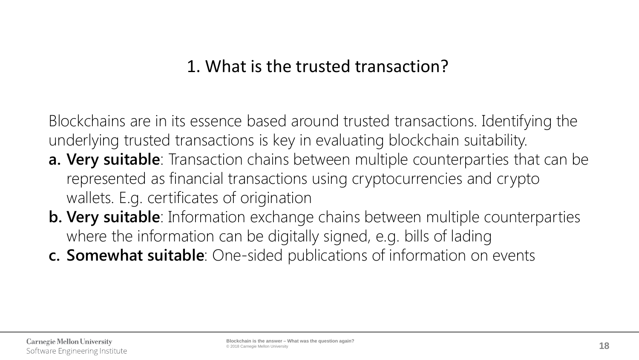### 1. What is the trusted transaction?

Blockchains are in its essence based around trusted transactions. Identifying the underlying trusted transactions is key in evaluating blockchain suitability.

- **a. Very suitable**: Transaction chains between multiple counterparties that can be represented as financial transactions using cryptocurrencies and crypto wallets. E.g. certificates of origination
- **b. Very suitable**: Information exchange chains between multiple counterparties where the information can be digitally signed, e.g. bills of lading
- **c. Somewhat suitable**: One-sided publications of information on events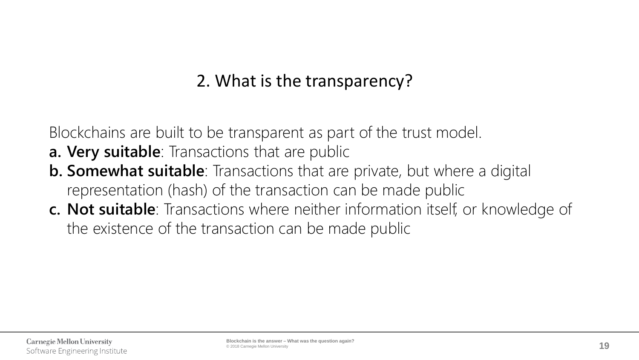### 2. What is the transparency?

Blockchains are built to be transparent as part of the trust model.

- **a. Very suitable**: Transactions that are public
- **b. Somewhat suitable**: Transactions that are private, but where a digital representation (hash) of the transaction can be made public
- **c. Not suitable**: Transactions where neither information itself, or knowledge of the existence of the transaction can be made public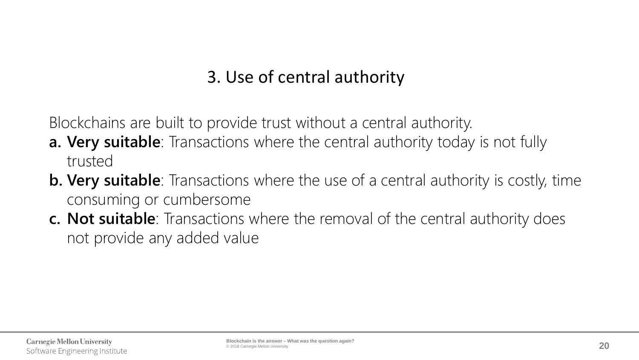### 3. Use of central authority

Blockchains are built to provide trust without a central authority.

- **a. Very suitable**: Transactions where the central authority today is not fully trusted
- **b. Very suitable**: Transactions where the use of a central authority is costly, time consuming or cumbersome
- **c. Not suitable**: Transactions where the removal of the central authority does not provide any added value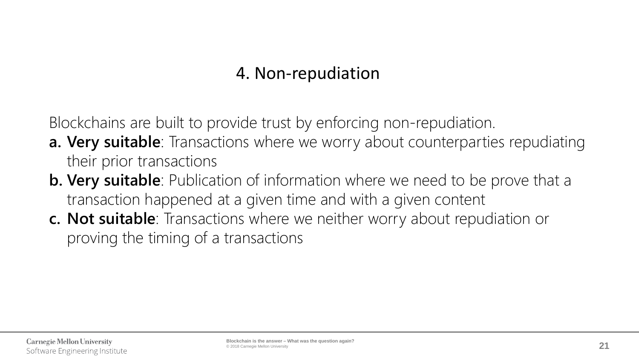### 4. Non-repudiation

Blockchains are built to provide trust by enforcing non-repudiation.

- **a. Very suitable**: Transactions where we worry about counterparties repudiating their prior transactions
- **b. Very suitable**: Publication of information where we need to be prove that a transaction happened at a given time and with a given content
- **c. Not suitable**: Transactions where we neither worry about repudiation or proving the timing of a transactions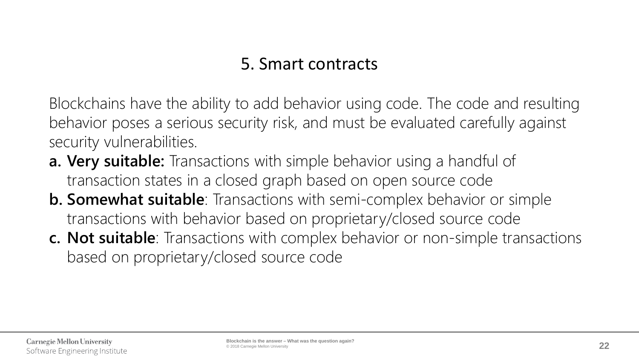#### 5. Smart contracts

Blockchains have the ability to add behavior using code. The code and resulting behavior poses a serious security risk, and must be evaluated carefully against security vulnerabilities.

- **a. Very suitable:** Transactions with simple behavior using a handful of transaction states in a closed graph based on open source code
- **b. Somewhat suitable**: Transactions with semi-complex behavior or simple transactions with behavior based on proprietary/closed source code
- **c. Not suitable**: Transactions with complex behavior or non-simple transactions based on proprietary/closed source code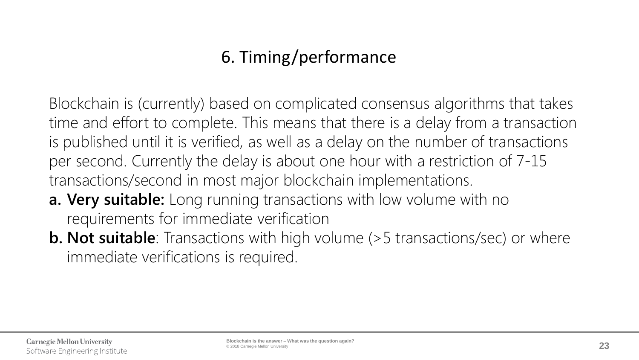### 6. Timing/performance

Blockchain is (currently) based on complicated consensus algorithms that takes time and effort to complete. This means that there is a delay from a transaction is published until it is verified, as well as a delay on the number of transactions per second. Currently the delay is about one hour with a restriction of 7-15 transactions/second in most major blockchain implementations.

- **a. Very suitable:** Long running transactions with low volume with no requirements for immediate verification
- **b.** Not suitable: Transactions with high volume (>5 transactions/sec) or where immediate verifications is required.